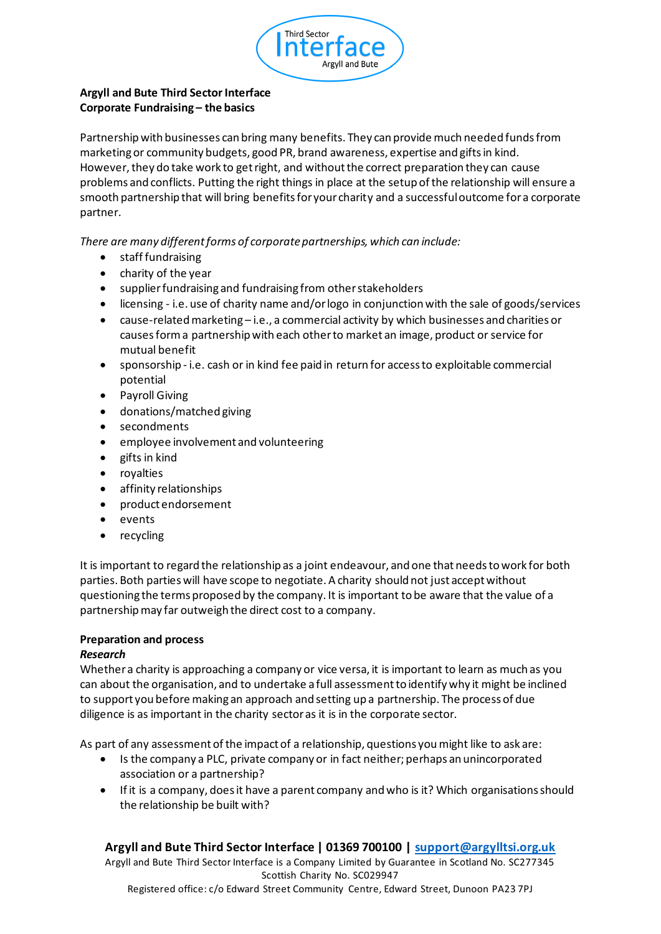

## **Argyll and Bute Third Sector Interface Corporate Fundraising – the basics**

Partnership with businesses can bring many benefits. They can provide much needed funds from marketing or community budgets, good PR, brand awareness, expertise and gifts in kind. However, they do take work to get right, and without the correct preparation they can cause problems and conflicts. Putting the right things in place at the setup of the relationship will ensure a smooth partnership that will bring benefits for your charity and a successful outcome for a corporate partner.

*There are many different forms of corporate partnerships, which can include:*

- staff fundraising
- charity of the year
- supplier fundraising and fundraising from other stakeholders
- licensing i.e. use of charity name and/or logo in conjunction with the sale of goods/services
- cause-related marketing i.e., a commercial activity by which businesses and charities or causes form a partnership with each other to market an image, product or service for mutual benefit
- sponsorship i.e. cash or in kind fee paid in return for access to exploitable commercial potential
- Payroll Giving
- donations/matched giving
- secondments
- employee involvement and volunteering
- gifts in kind
- royalties
- affinity relationships
- product endorsement
- events
- recycling

It is important to regard the relationship as a joint endeavour, and one that needs to work for both parties. Both parties will have scope to negotiate. A charity should not just accept without questioning the terms proposed by the company. It is important to be aware that the value of a partnership may far outweigh the direct cost to a company.

### **Preparation and process**

### *Research*

Whether a charity is approaching a company or vice versa, it is important to learn as much as you can about the organisation, and to undertake a full assessment to identify why it might be inclined to support you before making an approach and setting up a partnership. The process of due diligence is as important in the charity sector as it is in the corporate sector.

As part of any assessment of the impact of a relationship, questions you might like to ask are:

- Is the company a PLC, private company or in fact neither; perhaps an unincorporated association or a partnership?
- If it is a company, does it have a parent company and who is it? Which organisations should the relationship be built with?

### **Argyll and Bute Third Sector Interface | 01369 700100 | support@argylltsi.org.uk**

Argyll and Bute Third Sector Interface is a Company Limited by Guarantee in Scotland No. SC277345 Scottish Charity No. SC029947

Registered office: c/o Edward Street Community Centre, Edward Street, Dunoon PA23 7PJ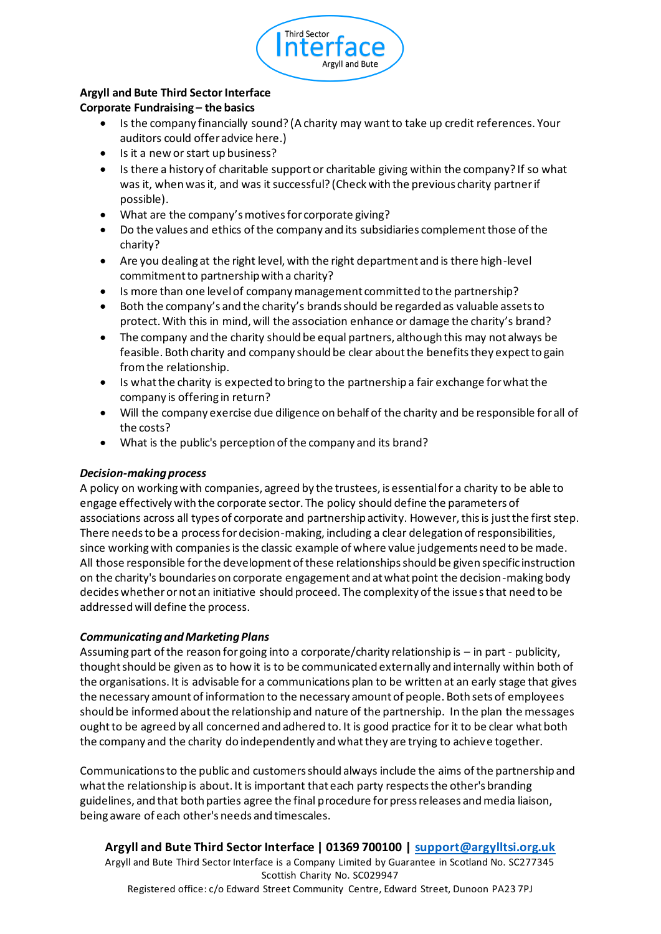

# **Argyll and Bute Third Sector Interface**

## **Corporate Fundraising – the basics**

- Is the company financially sound? (A charity may want to take up credit references. Your auditors could offer advice here.)
- Is it a new or start up business?
- Is there a history of charitable support or charitable giving within the company? If so what was it, when was it, and was it successful? (Check with the previous charity partner if possible).
- What are the company's motives for corporate giving?
- Do the values and ethics of the company and its subsidiaries complement those of the charity?
- Are you dealing at the right level, with the right department and is there high-level commitment to partnership with a charity?
- Is more than one level of company management committed to the partnership?
- Both the company's and the charity's brands should be regarded as valuable assets to protect. With this in mind, will the association enhance or damage the charity's brand?
- The company and the charity should be equal partners, although this may not always be feasible. Both charity and company should be clear about the benefits they expect to gain from the relationship.
- Is what the charity is expected to bring to the partnership a fair exchange for what the company is offering in return?
- Will the company exercise due diligence on behalf of the charity and be responsible for all of the costs?
- What is the public's perception of the company and its brand?

### *Decision-making process*

A policy on working with companies, agreed by the trustees, is essential for a charity to be able to engage effectively with the corporate sector. The policy should define the parameters of associations across all types of corporate and partnership activity. However, this is just the first step. There needs to be a process for decision-making, including a clear delegation of responsibilities, since working with companies is the classic example of where value judgements need to be made. All those responsible for the development of these relationships should be given specific instruction on the charity's boundaries on corporate engagement and at what point the decision-making body decides whether or not an initiative should proceed. The complexity of the issue s that need to be addressed will define the process.

### *Communicating and Marketing Plans*

Assuming part of the reason for going into a corporate/charity relationship is – in part - publicity, thought should be given as to how it is to be communicated externally and internally within both of the organisations. It is advisable for a communications plan to be written at an early stage that gives the necessary amount of information to the necessary amount of people. Both sets of employees should be informed about the relationship and nature of the partnership. In the plan the messages ought to be agreed by all concerned and adhered to. It is good practice for it to be clear what both the company and the charity do independently and what they are trying to achieve together.

Communications to the public and customers should always include the aims of the partnership and what the relationship is about. It is important that each party respects the other's branding guidelines, and that both parties agree the final procedure for press releases and media liaison, being aware of each other's needs and timescales.

**Argyll and Bute Third Sector Interface | 01369 700100 | support@argylltsi.org.uk** Argyll and Bute Third Sector Interface is a Company Limited by Guarantee in Scotland No. SC277345 Scottish Charity No. SC029947 Registered office: c/o Edward Street Community Centre, Edward Street, Dunoon PA23 7PJ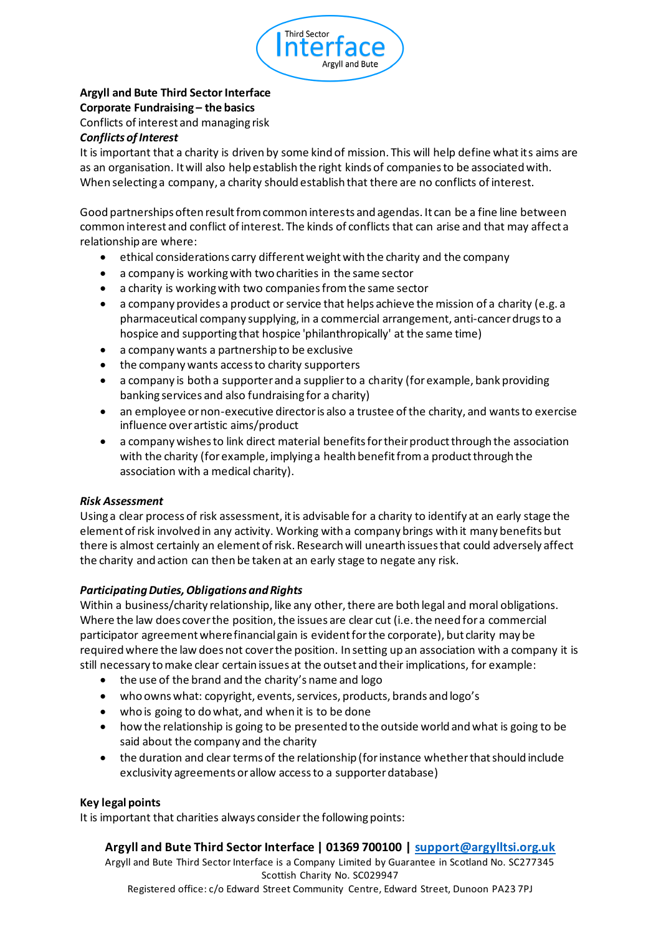

## **Argyll and Bute Third Sector Interface Corporate Fundraising – the basics** Conflicts of interest and managing risk

#### *Conflicts of Interest*

It is important that a charity is driven by some kind of mission. This will help define what its aims are as an organisation. It will also help establish the right kinds of companies to be associated with. When selecting a company, a charity should establish that there are no conflicts of interest.

Good partnerships often result from common interests and agendas. It can be a fine line between common interest and conflict of interest. The kinds of conflicts that can arise and that may affect a relationship are where:

- ethical considerations carry different weight with the charity and the company
- a company is working with two charities in the same sector
- a charity is working with two companies from the same sector
- a company provides a product or service that helps achieve the mission of a charity (e.g. a pharmaceutical company supplying, in a commercial arrangement, anti-cancer drugs to a hospice and supporting that hospice 'philanthropically' at the same time)
- a company wants a partnership to be exclusive
- the company wants access to charity supporters
- a company is both a supporter and a supplier to a charity (for example, bank providing banking services and also fundraising for a charity)
- an employee or non-executive director is also a trustee of the charity, and wants to exercise influence over artistic aims/product
- a company wishes to link direct material benefits for their product through the association with the charity (for example, implying a health benefit from a product through the association with a medical charity).

### *Risk Assessment*

Using a clear process of risk assessment, it is advisable for a charity to identify at an early stage the element of risk involved in any activity. Working with a company brings with it many benefits but there is almost certainly an element of risk. Research will unearth issues that could adversely affect the charity and action can then be taken at an early stage to negate any risk.

### *Participating Duties, Obligations and Rights*

Within a business/charity relationship, like any other, there are both legal and moral obligations. Where the law does cover the position, the issues are clear cut (i.e. the need for a commercial participator agreement where financial gain is evident for the corporate), but clarity may be required where the law does not cover the position. In setting up an association with a company it is still necessary to make clear certain issues at the outset and their implications, for example:

- the use of the brand and the charity's name and logo
- who owns what: copyright, events, services, products, brands and logo's
- who is going to do what, and when it is to be done
- how the relationship is going to be presented to the outside world and what is going to be said about the company and the charity
- the duration and clear terms of the relationship (for instance whether that should include exclusivity agreements or allow access to a supporter database)

#### **Key legal points**

It is important that charities always consider the following points:

### **Argyll and Bute Third Sector Interface | 01369 700100 | support@argylltsi.org.uk**

Argyll and Bute Third Sector Interface is a Company Limited by Guarantee in Scotland No. SC277345 Scottish Charity No. SC029947 Registered office: c/o Edward Street Community Centre, Edward Street, Dunoon PA23 7PJ